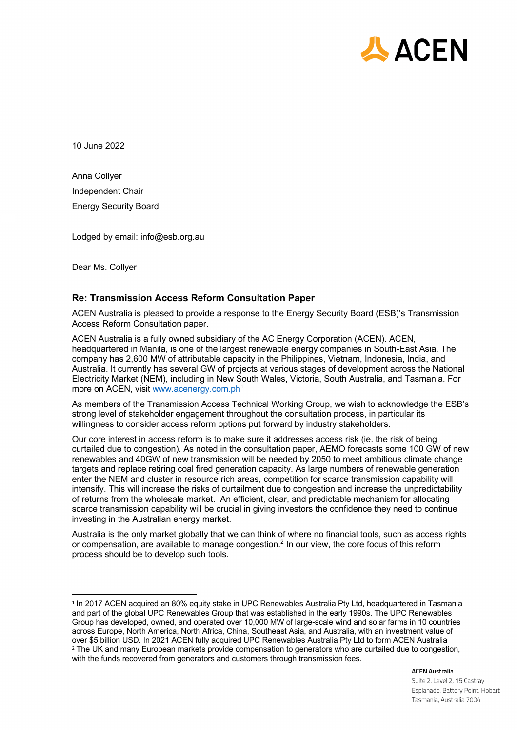

10 June 2022

Anna Collyer Independent Chair Energy Security Board

Lodged by email: info@esb.org.au

Dear Ms. Collyer

# **Re: Transmission Access Reform Consultation Paper**

ACEN Australia is pleased to provide a response to the Energy Security Board (ESB)'s Transmission Access Reform Consultation paper.

ACEN Australia is a fully owned subsidiary of the AC Energy Corporation (ACEN). ACEN, headquartered in Manila, is one of the largest renewable energy companies in South-East Asia. The company has 2,600 MW of attributable capacity in the Philippines, Vietnam, Indonesia, India, and Australia. It currently has several GW of projects at various stages of development across the National Electricity Market (NEM), including in New South Wales, Victoria, South Australia, and Tasmania. For more on ACEN, visit www.acenergy.com.ph<sup>1</sup>

As members of the Transmission Access Technical Working Group, we wish to acknowledge the ESB's strong level of stakeholder engagement throughout the consultation process, in particular its willingness to consider access reform options put forward by industry stakeholders.

Our core interest in access reform is to make sure it addresses access risk (ie. the risk of being curtailed due to congestion). As noted in the consultation paper, AEMO forecasts some 100 GW of new renewables and 40GW of new transmission will be needed by 2050 to meet ambitious climate change targets and replace retiring coal fired generation capacity. As large numbers of renewable generation enter the NEM and cluster in resource rich areas, competition for scarce transmission capability will intensify. This will increase the risks of curtailment due to congestion and increase the unpredictability of returns from the wholesale market. An efficient, clear, and predictable mechanism for allocating scarce transmission capability will be crucial in giving investors the confidence they need to continue investing in the Australian energy market.

Australia is the only market globally that we can think of where no financial tools, such as access rights or compensation, are available to manage congestion.<sup>2</sup> In our view, the core focus of this reform process should be to develop such tools.

**ACEN Australia** 

Suite 2, Level 2, 15 Castray Esplanade, Battery Point, Hobart Tasmania, Australia 7004

<sup>&</sup>lt;sup>1</sup> In 2017 ACEN acquired an 80% equity stake in UPC Renewables Australia Pty Ltd, headquartered in Tasmania and part of the global UPC Renewables Group that was established in the early 1990s. The UPC Renewables Group has developed, owned, and operated over 10,000 MW of large-scale wind and solar farms in 10 countries across Europe, North America, North Africa, China, Southeast Asia, and Australia, with an investment value of over \$5 billion USD. In 2021 ACEN fully acquired UPC Renewables Australia Pty Ltd to form ACEN Australia <sup>2</sup> The UK and many European markets provide compensation to generators who are curtailed due to congestion, with the funds recovered from generators and customers through transmission fees.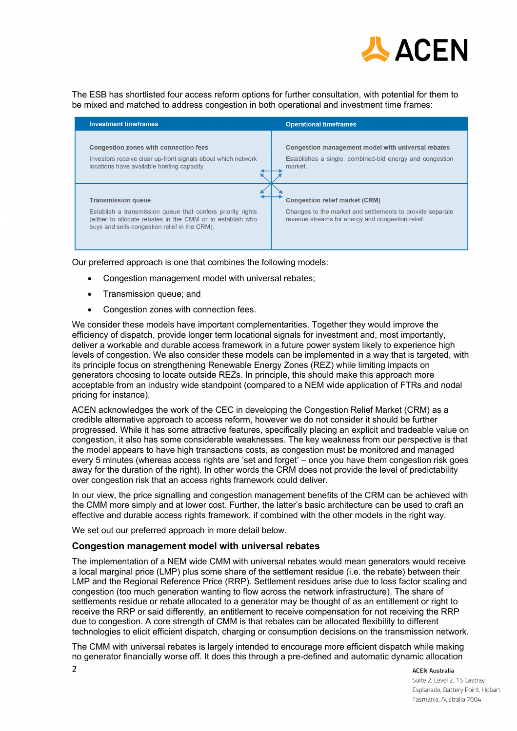

The ESB has shortlisted four access reform options for further consultation, with potential for them to be mixed and matched to address congestion in both operational and investment time frames:

| <b>Investment timeframes</b>                                                                                                                                                                            | <b>Operational timeframes</b>                                                                                                                           |
|---------------------------------------------------------------------------------------------------------------------------------------------------------------------------------------------------------|---------------------------------------------------------------------------------------------------------------------------------------------------------|
| <b>Congestion zones with connection fees</b><br>Investors receive clear up-front signals about which network<br>locations have available hosting capacity.                                              | Congestion management model with universal rebates<br>Establishes a single, combined-bid energy and congestion<br>market.                               |
| <b>Transmission queue</b><br>Establish a transmission queue that confers priority rights<br>(either to allocate rebates in the CMM or to establish who<br>buys and sells congestion relief in the CRM). | <b>Congestion relief market (CRM)</b><br>Changes to the market and settlements to provide separate<br>revenue streams for energy and congestion relief. |

Our preferred approach is one that combines the following models:

- Congestion management model with universal rebates;
- Transmission queue; and
- Congestion zones with connection fees.

We consider these models have important complementarities. Together they would improve the efficiency of dispatch, provide longer term locational signals for investment and, most importantly, deliver a workable and durable access framework in a future power system likely to experience high levels of congestion. We also consider these models can be implemented in a way that is targeted, with its principle focus on strengthening Renewable Energy Zones (REZ) while limiting impacts on generators choosing to locate outside REZs. In principle, this should make this approach more acceptable from an industry wide standpoint (compared to a NEM wide application of FTRs and nodal pricing for instance).

ACEN acknowledges the work of the CEC in developing the Congestion Relief Market (CRM) as a credible alternative approach to access reform, however we do not consider it should be further progressed. While it has some attractive features, specifically placing an explicit and tradeable value on congestion, it also has some considerable weaknesses. The key weakness from our perspective is that the model appears to have high transactions costs, as congestion must be monitored and managed every 5 minutes (whereas access rights are 'set and forget' – once you have them congestion risk goes away for the duration of the right). In other words the CRM does not provide the level of predictability over congestion risk that an access rights framework could deliver.

In our view, the price signalling and congestion management benefits of the CRM can be achieved with the CMM more simply and at lower cost. Further, the latter's basic architecture can be used to craft an effective and durable access rights framework, if combined with the other models in the right way.

We set out our preferred approach in more detail below.

#### **Congestion management model with universal rebates**

The implementation of a NEM wide CMM with universal rebates would mean generators would receive a local marginal price (LMP) plus some share of the settlement residue (i.e. the rebate) between their LMP and the Regional Reference Price (RRP). Settlement residues arise due to loss factor scaling and congestion (too much generation wanting to flow across the network infrastructure). The share of settlements residue or rebate allocated to a generator may be thought of as an entitlement or right to receive the RRP or said differently, an entitlement to receive compensation for not receiving the RRP due to congestion. A core strength of CMM is that rebates can be allocated flexibility to different technologies to elicit efficient dispatch, charging or consumption decisions on the transmission network.

The CMM with universal rebates is largely intended to encourage more efficient dispatch while making no generator financially worse off. It does this through a pre-defined and automatic dynamic allocation

**ACEN Australia** 

Suite 2, Level 2, 15 Castray Esplanade, Battery Point, Hobart Tasmania, Australia 7004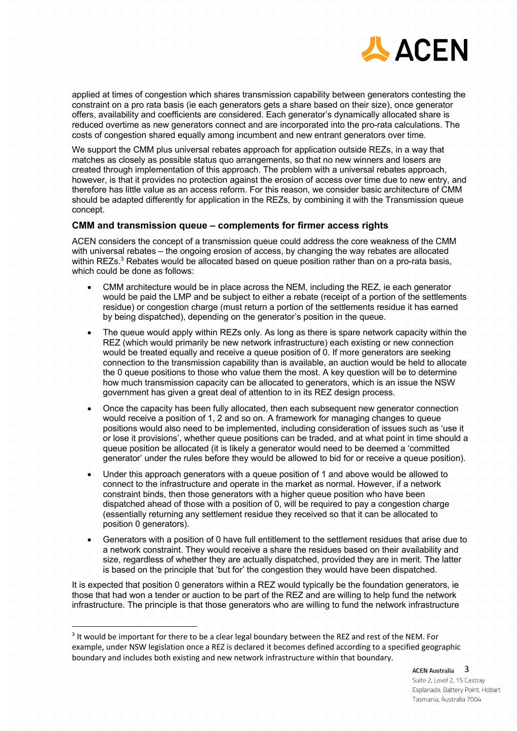

applied at times of congestion which shares transmission capability between generators contesting the constraint on a pro rata basis (ie each generators gets a share based on their size), once generator offers, availability and coefficients are considered. Each generator's dynamically allocated share is reduced overtime as new generators connect and are incorporated into the pro-rata calculations. The costs of congestion shared equally among incumbent and new entrant generators over time.

We support the CMM plus universal rebates approach for application outside REZs, in a way that matches as closely as possible status quo arrangements, so that no new winners and losers are created through implementation of this approach. The problem with a universal rebates approach, however, is that it provides no protection against the erosion of access over time due to new entry, and therefore has little value as an access reform. For this reason, we consider basic architecture of CMM should be adapted differently for application in the REZs, by combining it with the Transmission queue concept.

# **CMM and transmission queue – complements for firmer access rights**

ACEN considers the concept of a transmission queue could address the core weakness of the CMM with universal rebates – the ongoing erosion of access, by changing the way rebates are allocated within REZs.<sup>3</sup> Rebates would be allocated based on queue position rather than on a pro-rata basis, which could be done as follows:

- CMM architecture would be in place across the NEM, including the REZ, ie each generator would be paid the LMP and be subject to either a rebate (receipt of a portion of the settlements residue) or congestion charge (must return a portion of the settlements residue it has earned by being dispatched), depending on the generator's position in the queue.
- The queue would apply within REZs only. As long as there is spare network capacity within the REZ (which would primarily be new network infrastructure) each existing or new connection would be treated equally and receive a queue position of 0. If more generators are seeking connection to the transmission capability than is available, an auction would be held to allocate the 0 queue positions to those who value them the most. A key question will be to determine how much transmission capacity can be allocated to generators, which is an issue the NSW government has given a great deal of attention to in its REZ design process.
- Once the capacity has been fully allocated, then each subsequent new generator connection would receive a position of 1, 2 and so on. A framework for managing changes to queue positions would also need to be implemented, including consideration of issues such as 'use it or lose it provisions', whether queue positions can be traded, and at what point in time should a queue position be allocated (it is likely a generator would need to be deemed a 'committed generator' under the rules before they would be allowed to bid for or receive a queue position).
- Under this approach generators with a queue position of 1 and above would be allowed to connect to the infrastructure and operate in the market as normal. However, if a network constraint binds, then those generators with a higher queue position who have been dispatched ahead of those with a position of 0, will be required to pay a congestion charge (essentially returning any settlement residue they received so that it can be allocated to position 0 generators).
- Generators with a position of 0 have full entitlement to the settlement residues that arise due to a network constraint. They would receive a share the residues based on their availability and size, regardless of whether they are actually dispatched, provided they are in merit. The latter is based on the principle that 'but for' the congestion they would have been dispatched.

It is expected that position 0 generators within a REZ would typically be the foundation generators, ie those that had won a tender or auction to be part of the REZ and are willing to help fund the network infrastructure. The principle is that those generators who are willing to fund the network infrastructure

ACEN Australia 3 Suite 2, Level 2, 15 Castray Esplanade, Battery Point, Hobart Tasmania, Australia 7004

<sup>&</sup>lt;sup>3</sup> It would be important for there to be a clear legal boundary between the REZ and rest of the NEM. For example, under NSW legislation once a REZ is declared it becomes defined according to a specified geographic boundary and includes both existing and new network infrastructure within that boundary.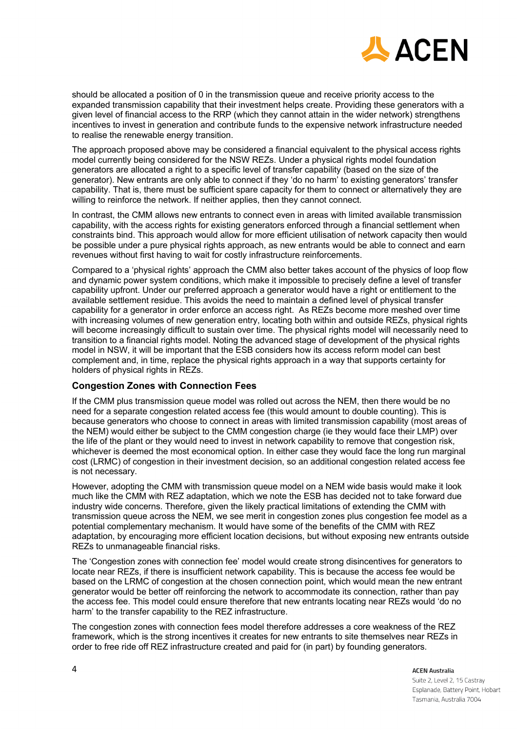

should be allocated a position of 0 in the transmission queue and receive priority access to the expanded transmission capability that their investment helps create. Providing these generators with a given level of financial access to the RRP (which they cannot attain in the wider network) strengthens incentives to invest in generation and contribute funds to the expensive network infrastructure needed to realise the renewable energy transition.

The approach proposed above may be considered a financial equivalent to the physical access rights model currently being considered for the NSW REZs. Under a physical rights model foundation generators are allocated a right to a specific level of transfer capability (based on the size of the generator). New entrants are only able to connect if they 'do no harm' to existing generators' transfer capability. That is, there must be sufficient spare capacity for them to connect or alternatively they are willing to reinforce the network. If neither applies, then they cannot connect.

In contrast, the CMM allows new entrants to connect even in areas with limited available transmission capability, with the access rights for existing generators enforced through a financial settlement when constraints bind. This approach would allow for more efficient utilisation of network capacity then would be possible under a pure physical rights approach, as new entrants would be able to connect and earn revenues without first having to wait for costly infrastructure reinforcements.

Compared to a 'physical rights' approach the CMM also better takes account of the physics of loop flow and dynamic power system conditions, which make it impossible to precisely define a level of transfer capability upfront. Under our preferred approach a generator would have a right or entitlement to the available settlement residue. This avoids the need to maintain a defined level of physical transfer capability for a generator in order enforce an access right. As REZs become more meshed over time with increasing volumes of new generation entry, locating both within and outside REZs, physical rights will become increasingly difficult to sustain over time. The physical rights model will necessarily need to transition to a financial rights model. Noting the advanced stage of development of the physical rights model in NSW, it will be important that the ESB considers how its access reform model can best complement and, in time, replace the physical rights approach in a way that supports certainty for holders of physical rights in REZs.

#### **Congestion Zones with Connection Fees**

If the CMM plus transmission queue model was rolled out across the NEM, then there would be no need for a separate congestion related access fee (this would amount to double counting). This is because generators who choose to connect in areas with limited transmission capability (most areas of the NEM) would either be subject to the CMM congestion charge (ie they would face their LMP) over the life of the plant or they would need to invest in network capability to remove that congestion risk, whichever is deemed the most economical option. In either case they would face the long run marginal cost (LRMC) of congestion in their investment decision, so an additional congestion related access fee is not necessary.

However, adopting the CMM with transmission queue model on a NEM wide basis would make it look much like the CMM with REZ adaptation, which we note the ESB has decided not to take forward due industry wide concerns. Therefore, given the likely practical limitations of extending the CMM with transmission queue across the NEM, we see merit in congestion zones plus congestion fee model as a potential complementary mechanism. It would have some of the benefits of the CMM with REZ adaptation, by encouraging more efficient location decisions, but without exposing new entrants outside REZs to unmanageable financial risks.

The 'Congestion zones with connection fee' model would create strong disincentives for generators to locate near REZs, if there is insufficient network capability. This is because the access fee would be based on the LRMC of congestion at the chosen connection point, which would mean the new entrant generator would be better off reinforcing the network to accommodate its connection, rather than pay the access fee. This model could ensure therefore that new entrants locating near REZs would 'do no harm' to the transfer capability to the REZ infrastructure.

The congestion zones with connection fees model therefore addresses a core weakness of the REZ framework, which is the strong incentives it creates for new entrants to site themselves near REZs in order to free ride off REZ infrastructure created and paid for (in part) by founding generators.

**ACEN Australia** 

Suite 2, Level 2, 15 Castray Esplanade, Battery Point, Hobart Tasmania, Australia 7004